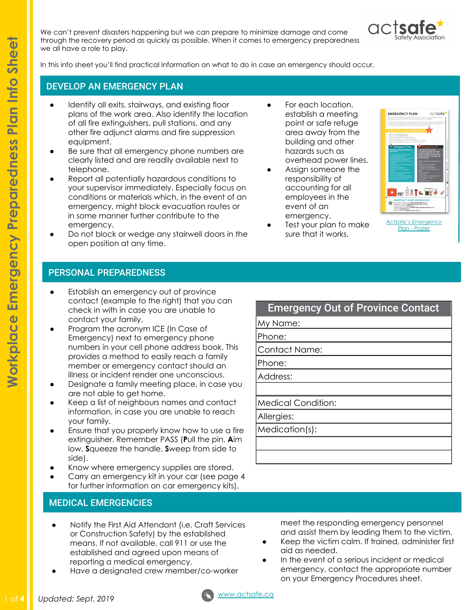We can't prevent disasters happening but we can prepare to minimize damage and come through the recovery period as quickly as possible. When it comes to emergency preparedness we all have a role to play.



In this info sheet you'll find practical information on what to do in case an emergency should occur.

### DEVELOP AN EMERGENCY PLAN

- Identify all exits, stairways, and existing floor plans of the work area. Also identify the location of all fire extinguishers, pull stations, and any other fire adjunct alarms and fire suppression equipment.
- Be sure that all emergency phone numbers are clearly listed and are readily available next to telephone.
- Report all potentially hazardous conditions to your supervisor immediately. Especially focus on conditions or materials which, in the event of an emergency, might block evacuation routes or in some manner further contribute to the emergency.
- Do not block or wedge any stairwell doors in the open position at any time.
- For each location, establish a meeting point or safe refuge area away from the building and other hazards such as overhead power lines.
- Assign someone the responsibility of accounting for all employees in the event of an emergency.
- Test your plan to make sure that it works.



*[Actsafe's Emergency](https://www.actsafe.ca/wp-content/uploads/2017/10/Emergency-Preparedness-Poster-PDF.pdf) [Plan - Poster](https://www.actsafe.ca/wp-content/uploads/2017/10/Emergency-Preparedness-Poster-PDF.pdf)*

### PERSONAL PREPAREDNESS

- Establish an emergency out of province contact (example to the right) that you can check in with in case you are unable to contact your family.
- Program the acronym ICE (In Case of Emergency) next to emergency phone numbers in your cell phone address book. This provides a method to easily reach a family member or emergency contact should an illness or incident render one unconscious.
- Designate a family meeting place, in case you are not able to get home.
- Keep a list of neighbours names and contact information, in case you are unable to reach your family.
- Ensure that you properly know how to use a fire extinguisher. Remember PASS (**P**ull the pin, **A**im low, **S**queeze the handle, **S**weep from side to side).
- Know where emergency supplies are stored.
- Carry an emergency kit in your car (see page 4 for further information on car emergency kits).

## MEDICAL EMERGENCIES

- Notify the First Aid Attendant (i.e. Craft Services or Construction Safety) by the established means. If not available, call 911 or use the established and agreed upon means of reporting a medical emergency.
- Have a designated crew member/co-worker

# Emergency Out of Province Contact

My Name:

Phone:

Contact Name:

Phone:

Address:

Medical Condition:

Allergies:

Medication(s):

meet the responding emergency personnel and assist them by leading them to the victim.

- Keep the victim calm. If trained, administer first aid as needed.
- In the event of a serious incident or medical emergency, contact the appropriate number on your Emergency Procedures sheet.

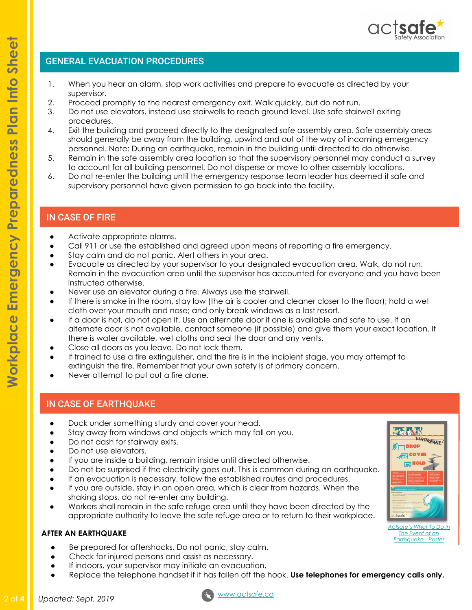# GENERAL EVACUATION PROCEDURES

- 1. When you hear an alarm, stop work activities and prepare to evacuate as directed by your supervisor.
- 2. Proceed promptly to the nearest emergency exit. Walk quickly, but do not run.
- 3. Do not use elevators, instead use stairwells to reach ground level. Use safe stairwell exiting procedures.
- 4. Exit the building and proceed directly to the designated safe assembly area. Safe assembly areas should generally be away from the building, upwind and out of the way of incoming emergency personnel. Note: During an earthquake, remain in the building until directed to do otherwise.
- 5. Remain in the safe assembly area location so that the supervisory personnel may conduct a survey to account for all building personnel. Do not disperse or move to other assembly locations.
- 6. Do not re-enter the building until the emergency response team leader has deemed it safe and supervisory personnel have given permission to go back into the facility.

# IN CASE OF FIRE

- Activate appropriate alarms.
- Call 911 or use the established and agreed upon means of reporting a fire emergency.
- Stay calm and do not panic. Alert others in your area.
- Evacuate as directed by your supervisor to your designated evacuation area. Walk, do not run. Remain in the evacuation area until the supervisor has accounted for everyone and you have been instructed otherwise.
- Never use an elevator during a fire. Always use the stairwell.
- If there is smoke in the room, stay low (the air is cooler and cleaner closer to the floor); hold a wet cloth over your mouth and nose; and only break windows as a last resort.
- If a door is hot, do not open it. Use an alternate door if one is available and safe to use. If an alternate door is not available, contact someone (if possible) and give them your exact location. If there is water available, wet cloths and seal the door and any vents.
- Close all doors as you leave. Do not lock them.
- If trained to use a fire extinguisher, and the fire is in the incipient stage, you may attempt to extinguish the fire. Remember that your own safety is of primary concern.
- Never attempt to put out a fire alone.

# IN CASE OF EARTHQUAKE

- Duck under something sturdy and cover your head.
- Stay away from windows and objects which may fall on you.
- Do not dash for stairway exits.
- Do not use elevators.
- If you are inside a building, remain inside until directed otherwise.
- Do not be surprised if the electricity goes out. This is common during an earthquake.
- If an evacuation is necessary, follow the established routes and procedures.
- If you are outside, stay in an open area, which is clear from hazards. When the shaking stops, do not re-enter any building.
- Workers shall remain in the safe refuge area until they have been directed by the appropriate authority to leave the safe refuge area or to return to their workplace.

#### **AFTER AN EARTHQUAKE**

- Be prepared for aftershocks. Do not panic, stay calm.
- Check for injured persons and assist as necessary.
- If indoors, your supervisor may initiate an evacuation.
- Replace the telephone handset if it has fallen off the hook. **Use telephones for emergency calls only.**

 $\overline{\mathbf{v}}$ 





*[Actsafe's What To Do In](https://www.actsafe.ca/wp-content/uploads/2017/10/Earthquake-Poster-PDF.pdf) [The Event of an](https://www.actsafe.ca/wp-content/uploads/2017/10/Earthquake-Poster-PDF.pdf) [Earthquake - Poster](https://www.actsafe.ca/wp-content/uploads/2017/10/Earthquake-Poster-PDF.pdf)*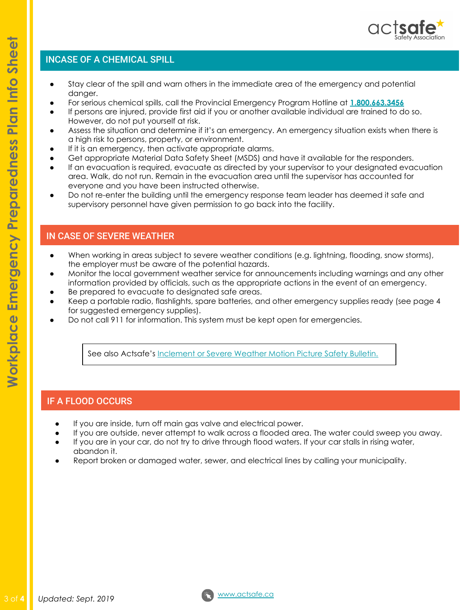

## INCASE OF A CHEMICAL SPILL

- Stay clear of the spill and warn others in the immediate area of the emergency and potential danger.
- For serious chemical spills, call the Provincial Emergency Program Hotline at **[1.800.663.3456](https://www2.gov.bc.ca/gov/content/environment/air-land-water/spills-environmental-emergencies/report-a-spill)**
- If persons are injured, provide first aid if you or another available individual are trained to do so. However, do not put yourself at risk.
- Assess the situation and determine if it's an emergency. An emergency situation exists when there is a high risk to persons, property, or environment.
- If it is an emergency, then activate appropriate alarms.
- Get appropriate Material Data Safety Sheet (MSDS) and have it available for the responders.
- If an evacuation is required, evacuate as directed by your supervisor to your designated evacuation area. Walk, do not run. Remain in the evacuation area until the supervisor has accounted for everyone and you have been instructed otherwise.
- Do not re-enter the building until the emergency response team leader has deemed it safe and supervisory personnel have given permission to go back into the facility.

## IN CASE OF SEVERE WEATHER

- When working in areas subject to severe weather conditions (e.g. lightning, flooding, snow storms), the employer must be aware of the potential hazards.
- Monitor the local government weather service for announcements including warnings and any other information provided by officials, such as the appropriate actions in the event of an emergency.
- Be prepared to evacuate to designated safe areas.
- Keep a portable radio, flashlights, spare batteries, and other emergency supplies ready (see page 4 for suggested emergency supplies).
- Do not call 911 for information. This system must be kept open for emergencies.

See also Actsafe's [Inclement or Severe Weather Motion Picture Safety Bulletin.](https://www.actsafe.ca/wp-content/uploads/2017/11/Inclement-or-Severe-Weather-Motion-Picture-Bulletin-PDF.pdf)

# IF A FLOOD OCCURS

- If you are inside, turn off main gas valve and electrical power.
- If you are outside, never attempt to walk across a flooded area. The water could sweep you away.
- If you are in your car, do not try to drive through flood waters. If your car stalls in rising water, abandon it.
- Report broken or damaged water, sewer, and electrical lines by calling your municipality.